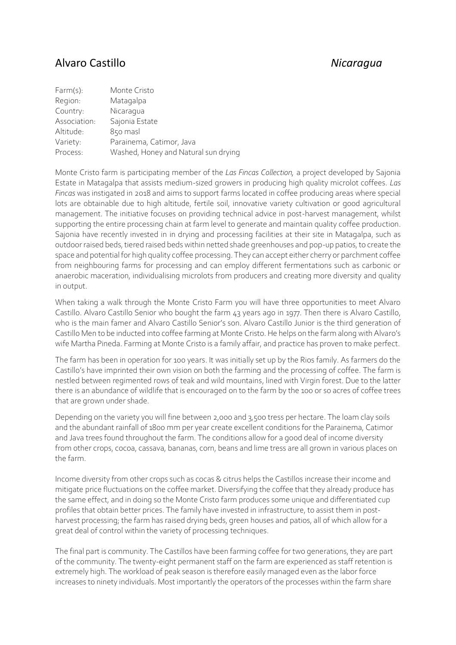## Alvaro Castillo *Nicaragua*

| $Farm(s)$ :  | Monte Cristo                         |
|--------------|--------------------------------------|
| Region:      | Matagalpa                            |
| Country:     | Nicaragua                            |
| Association: | Sajonia Estate                       |
| Altitude:    | 850 masl                             |
| Variety:     | Parainema, Catimor, Java             |
| Process:     | Washed, Honey and Natural sun drying |

Monte Cristo farm is participating member of the *Las Fincas Collection,* a project developed by Sajonia Estate in Matagalpa that assists medium-sized growers in producing high quality microlot coffees. *Las Fincas* was instigated in 2018 and aims to support farms located in coffee producing areas where special lots are obtainable due to high altitude, fertile soil, innovative variety cultivation or good agricultural management. The initiative focuses on providing technical advice in post-harvest management, whilst supporting the entire processing chain at farm level to generate and maintain quality coffee production. Sajonia have recently invested in in drying and processing facilities at their site in Matagalpa, such as outdoor raised beds, tiered raised beds within netted shade greenhouses and pop-up patios, to create the space and potential for high quality coffee processing. They can accept either cherry or parchment coffee from neighbouring farms for processing and can employ different fermentations such as carbonic or anaerobic maceration, individualising microlots from producers and creating more diversity and quality in output.

When taking a walk through the Monte Cristo Farm you will have three opportunities to meet Alvaro Castillo. Alvaro Castillo Senior who bought the farm 43 years ago in 1977. Then there is Alvaro Castillo, who is the main famer and Alvaro Castillo Senior's son. Alvaro Castillo Junior is the third generation of Castillo Men to be inducted into coffee farming at Monte Cristo. He helps on the farm along with Alvaro's wife Martha Pineda. Farming at Monte Cristo is a family affair, and practice has proven to make perfect.

The farm has been in operation for 100 years. It was initially set up by the Rios family. As farmers do the Castillo's have imprinted their own vision on both the farming and the processing of coffee. The farm is nestled between regimented rows of teak and wild mountains, lined with Virgin forest. Due to the latter there is an abundance of wildlife that is encouraged on to the farm by the 100 or so acres of coffee trees that are grown under shade.

Depending on the variety you will fine between 2,000 and 3,500 tress per hectare. The loam clay soils and the abundant rainfall of 1800 mm per year create excellent conditions for the Parainema, Catimor and Java trees found throughout the farm. The conditions allow for a good deal of income diversity from other crops, cocoa, cassava, bananas, corn, beans and lime tress are all grown in various places on the farm.

Income diversity from other crops such as cocas & citrus helps the Castillos increase their income and mitigate price fluctuations on the coffee market. Diversifying the coffee that they already produce has the same effect, and in doing so the Monte Cristo farm produces some unique and differentiated cup profiles that obtain better prices. The family have invested in infrastructure, to assist them in postharvest processing; the farm has raised drying beds, green houses and patios, all of which allow for a great deal of control within the variety of processing techniques.

The final part is community. The Castillos have been farming coffee for two generations, they are part of the community. The twenty-eight permanent staff on the farm are experienced as staff retention is extremely high. The workload of peak season is therefore easily managed even as the labor force increases to ninety individuals. Most importantly the operators of the processes within the farm share